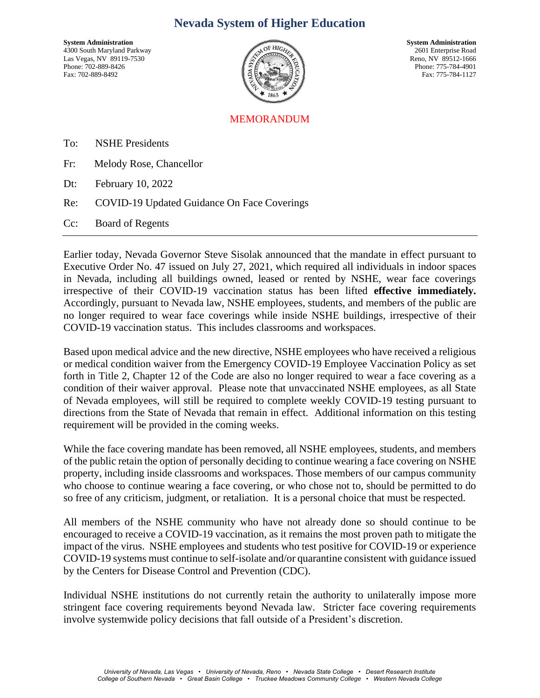## **Nevada System of Higher Education**

**System Administration**<br> **System Administration**<br> **System Administration**<br> **System Administration**<br>
2601 Enterprise Road 4300 South Maryland Parkway 2601 Enterprise Road<br>Las Vegas, NV 89119-7530 Reno, NV 89512-1666 Las Vegas, NV 89119-7530<br>Phone: 702-889-8426 Fax: 702-889-8492 Fax: 775-784-1127



Phone: 775-784-4901

## **MEMOR ANDUM**

To: NSHE Presidents

- Fr: Melody Rose, Chancellor
- Dt: February 10, 2022
- Re: COVID-19 Updated Guidance On Face Coverings

Cc: Board of Regents

Earlier today, Nevada Governor Steve Sisolak announced that the mandate in effect pursuant to Executive Order No. 47 issued on July 27, 2021, which required all individuals in indoor spaces in Nevada, including all buildings owned, leased or rented by NSHE, wear face coverings irrespective of their COVID-19 vaccination status has been lifted **effective immediately.**  Accordingly, pursuant to Nevada law, NSHE employees, students, and members of the public are no longer required to wear face coverings while inside NSHE buildings, irrespective of their COVID-19 vaccination status. This includes classrooms and workspaces.

Based upon medical advice and the new directive, NSHE employees who have received a religious or medical condition waiver from the Emergency COVID-19 Employee Vaccination Policy as set forth in Title 2, Chapter 12 of the Code are also no longer required to wear a face covering as a condition of their waiver approval. Please note that unvaccinated NSHE employees, as all State of Nevada employees, will still be required to complete weekly COVID-19 testing pursuant to directions from the State of Nevada that remain in effect. Additional information on this testing requirement will be provided in the coming weeks.

While the face covering mandate has been removed, all NSHE employees, students, and members of the public retain the option of personally deciding to continue wearing a face covering on NSHE property, including inside classrooms and workspaces. Those members of our campus community who choose to continue wearing a face covering, or who chose not to, should be permitted to do so free of any criticism, judgment, or retaliation. It is a personal choice that must be respected.

All members of the NSHE community who have not already done so should continue to be encouraged to receive a COVID-19 vaccination, as it remains the most proven path to mitigate the impact of the virus. NSHE employees and students who test positive for COVID-19 or experience COVID-19 systems must continue to self-isolate and/or quarantine consistent with guidance issued by the Centers for Disease Control and Prevention (CDC).

Individual NSHE institutions do not currently retain the authority to unilaterally impose more stringent face covering requirements beyond Nevada law. Stricter face covering requirements involve systemwide policy decisions that fall outside of a President's discretion.